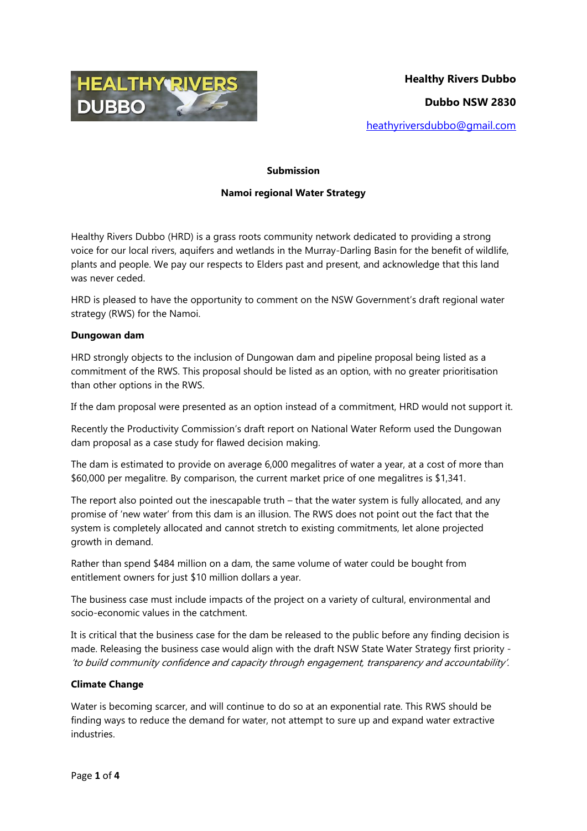

#### **Submission**

### **Namoi regional Water Strategy**

Healthy Rivers Dubbo (HRD) is a grass roots community network dedicated to providing a strong voice for our local rivers, aquifers and wetlands in the Murray-Darling Basin for the benefit of wildlife, plants and people. We pay our respects to Elders past and present, and acknowledge that this land was never ceded.

HRD is pleased to have the opportunity to comment on the NSW Government's draft regional water strategy (RWS) for the Namoi.

#### **Dungowan dam**

HRD strongly objects to the inclusion of Dungowan dam and pipeline proposal being listed as a commitment of the RWS. This proposal should be listed as an option, with no greater prioritisation than other options in the RWS.

If the dam proposal were presented as an option instead of a commitment, HRD would not support it.

Recently the Productivity Commission's draft report on National Water Reform used the Dungowan dam proposal as a case study for flawed decision making.

The dam is estimated to provide on average 6,000 megalitres of water a year, at a cost of more than \$60,000 per megalitre. By comparison, the current market price of one megalitres is \$1,341.

The report also pointed out the inescapable truth – that the water system is fully allocated, and any promise of 'new water' from this dam is an illusion. The RWS does not point out the fact that the system is completely allocated and cannot stretch to existing commitments, let alone projected growth in demand.

Rather than spend \$484 million on a dam, the same volume of water could be bought from entitlement owners for just \$10 million dollars a year.

The business case must include impacts of the project on a variety of cultural, environmental and socio-economic values in the catchment.

It is critical that the business case for the dam be released to the public before any finding decision is made. Releasing the business case would align with the draft NSW State Water Strategy first priority - 'to build community confidence and capacity through engagement, transparency and accountability'.

## **Climate Change**

Water is becoming scarcer, and will continue to do so at an exponential rate. This RWS should be finding ways to reduce the demand for water, not attempt to sure up and expand water extractive industries.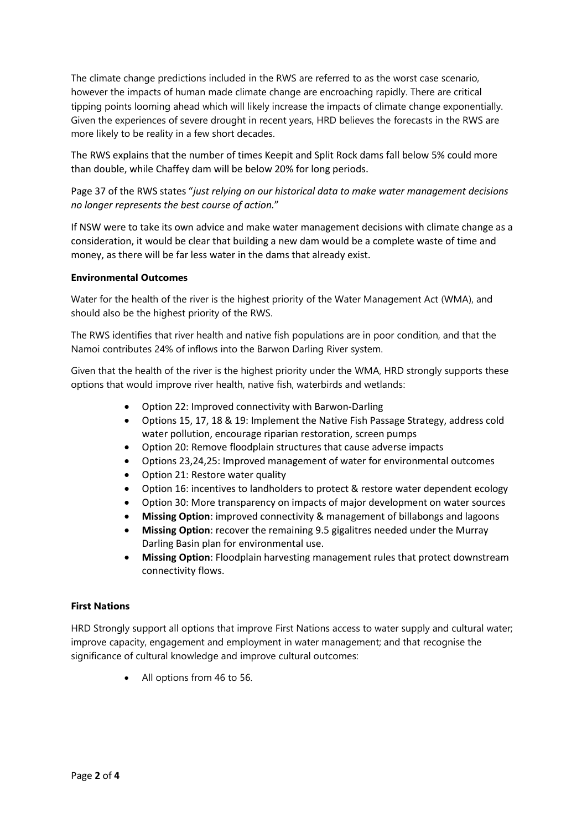The climate change predictions included in the RWS are referred to as the worst case scenario, however the impacts of human made climate change are encroaching rapidly. There are critical tipping points looming ahead which will likely increase the impacts of climate change exponentially. Given the experiences of severe drought in recent years, HRD believes the forecasts in the RWS are more likely to be reality in a few short decades.

The RWS explains that the number of times Keepit and Split Rock dams fall below 5% could more than double, while Chaffey dam will be below 20% for long periods.

# Page 37 of the RWS states "*just relying on our historical data to make water management decisions no longer represents the best course of action.*"

If NSW were to take its own advice and make water management decisions with climate change as a consideration, it would be clear that building a new dam would be a complete waste of time and money, as there will be far less water in the dams that already exist.

### **Environmental Outcomes**

Water for the health of the river is the highest priority of the Water Management Act (WMA), and should also be the highest priority of the RWS.

The RWS identifies that river health and native fish populations are in poor condition, and that the Namoi contributes 24% of inflows into the Barwon Darling River system.

Given that the health of the river is the highest priority under the WMA, HRD strongly supports these options that would improve river health, native fish, waterbirds and wetlands:

- Option 22: Improved connectivity with Barwon-Darling
- Options 15, 17, 18 & 19: Implement the Native Fish Passage Strategy, address cold water pollution, encourage riparian restoration, screen pumps
- Option 20: Remove floodplain structures that cause adverse impacts
- Options 23,24,25: Improved management of water for environmental outcomes
- Option 21: Restore water quality
- Option 16: incentives to landholders to protect & restore water dependent ecology
- Option 30: More transparency on impacts of major development on water sources
- **Missing Option**: improved connectivity & management of billabongs and lagoons
- **Missing Option**: recover the remaining 9.5 gigalitres needed under the Murray Darling Basin plan for environmental use.
- **Missing Option**: Floodplain harvesting management rules that protect downstream connectivity flows.

## **First Nations**

HRD Strongly support all options that improve First Nations access to water supply and cultural water; improve capacity, engagement and employment in water management; and that recognise the significance of cultural knowledge and improve cultural outcomes:

• All options from 46 to 56.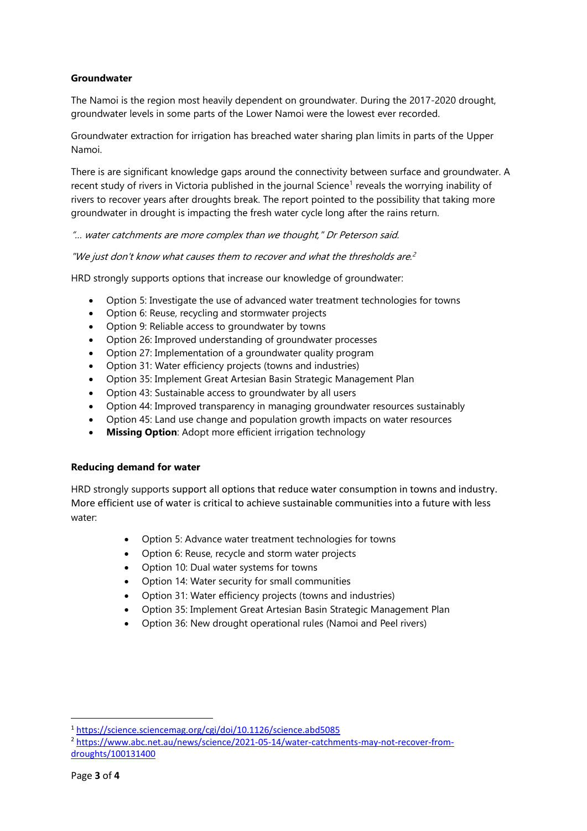## **Groundwater**

The Namoi is the region most heavily dependent on groundwater. During the 2017-2020 drought, groundwater levels in some parts of the Lower Namoi were the lowest ever recorded.

Groundwater extraction for irrigation has breached water sharing plan limits in parts of the Upper Namoi.

There is are significant knowledge gaps around the connectivity between surface and groundwater. A recent study of rivers in Victoria published in the journal Science<sup>1</sup> reveals the worrying inability of rivers to recover years after droughts break. The report pointed to the possibility that taking more groundwater in drought is impacting the fresh water cycle long after the rains return.

"… water catchments are more complex than we thought," Dr Peterson said.

"We just don't know what causes them to recover and what the thresholds are. $^2$ 

HRD strongly supports options that increase our knowledge of groundwater:

- Option 5: Investigate the use of advanced water treatment technologies for towns
- Option 6: Reuse, recycling and stormwater projects
- Option 9: Reliable access to groundwater by towns
- Option 26: Improved understanding of groundwater processes
- Option 27: Implementation of a groundwater quality program
- Option 31: Water efficiency projects (towns and industries)
- Option 35: Implement Great Artesian Basin Strategic Management Plan
- Option 43: Sustainable access to groundwater by all users
- Option 44: Improved transparency in managing groundwater resources sustainably
- Option 45: Land use change and population growth impacts on water resources
- **Missing Option**: Adopt more efficient irrigation technology

## **Reducing demand for water**

HRD strongly supports support all options that reduce water consumption in towns and industry. More efficient use of water is critical to achieve sustainable communities into a future with less water:

- Option 5: Advance water treatment technologies for towns
- Option 6: Reuse, recycle and storm water projects
- Option 10: Dual water systems for towns
- Option 14: Water security for small communities
- Option 31: Water efficiency projects (towns and industries)
- Option 35: Implement Great Artesian Basin Strategic Management Plan
- Option 36: New drought operational rules (Namoi and Peel rivers)

**.** 

<sup>1</sup> <https://science.sciencemag.org/cgi/doi/10.1126/science.abd5085>

<sup>&</sup>lt;sup>2</sup> [https://www.abc.net.au/news/science/2021-05-14/water-catchments-may-not-recover-from](https://www.abc.net.au/news/science/2021-05-14/water-catchments-may-not-recover-from-droughts/100131400)[droughts/100131400](https://www.abc.net.au/news/science/2021-05-14/water-catchments-may-not-recover-from-droughts/100131400)